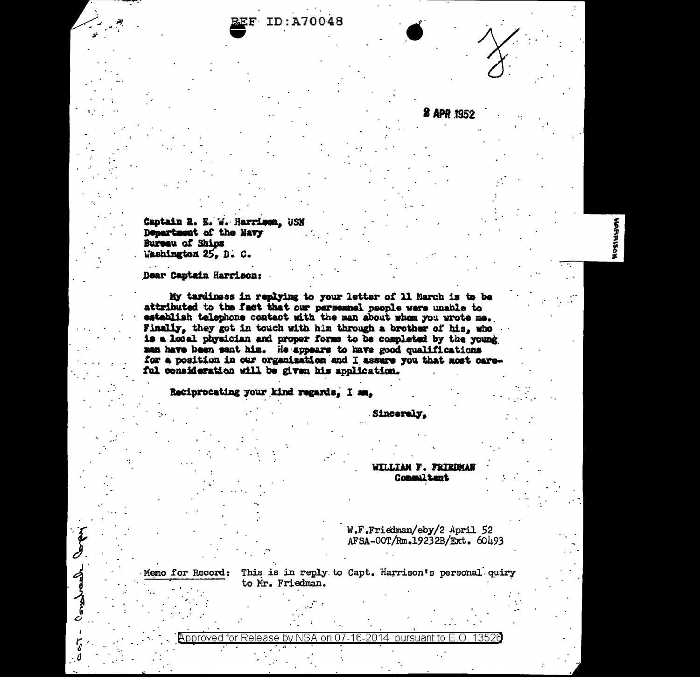ID:A70048

Captain R. E. W. Harrison, USN Department of the Navy Bureau of Ships Washington 25, D. C.

Dear Captain Harrison;

Memo for Record:

longerate love

My tardiness in replying to your letter of 11 March is to be attributed to the fact that our personnel people were unable to establish telephone contact with the man about whom you wrote me. Finally, they got in touch with him through a brother of his, who is a local physician and proper forms to be completed by the young man have been sent him. He appears to have good qualifications for a position in our organization and I assure you that most careful consideration will be given his application.

Reciprocating your kind regards, I am,

Sincerely,

**WILLIAM F. FRIEDMAN** Consultant

**2 APR 1952** 

W.F.Friedman/eby/2 April 52 AFSA-00T/Rm.19232B/Ext. 60493

This is in reply to Capt. Harrison's personal quiry to Mr. Friedman.

Approved for Release by NSA on 07-16-2014 pursuant to E.O. -13526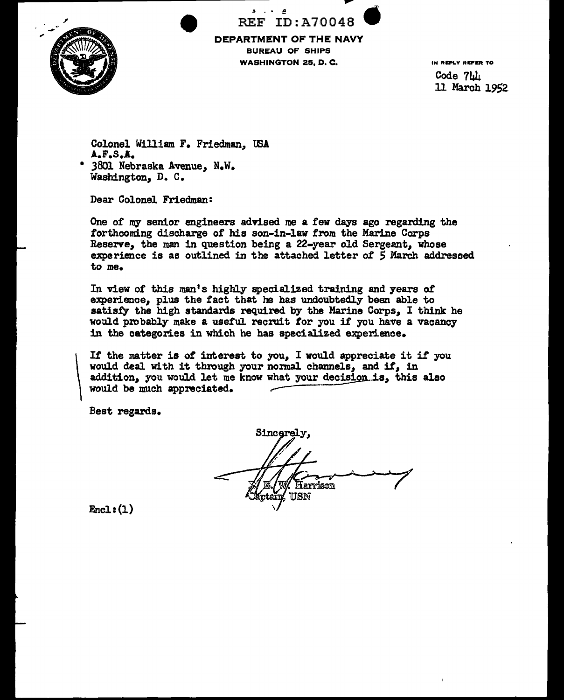

REF ID:A70048 DEPARTMENT OF THE NAVY<br>BUREAU OF SHIPS<br>WASHINGTON 25, D. C. BUREAU OF SHIPS WASHINGTON 25, D. C.

IN REPLY REFER TO  $Code$   $741$ 11 March 1952

Colonel William F. Friedman, IBA A.F.S.A. • 3801 Nebraska Avenue, N.w.

Washington, D. c.

Dear Colonel Friedman:

One of my senior engineers advised me a £ew days ago regarding the forthcoming discharge of his son-in-law from the Marine Corps Reserve, the man in question being a 22-year old Sergeant, whose experience is as outlined in the attached letter o£ S March addressed to me.

In view of this man's highly specialized training and years of experience, plus the £act that he has undoubtedly been able to satisfy the high standards required by the Marine Corps, I think he would probably make a useful recruit for you if you have a vacancy in the categories in which he has specialized experience.

If the matter is of interest to you, I would appreciate it if you It the matter is of interest to you, I would appreciate it is<br>would deal with it through your normal channels, and if, in<br>addition, you would let me know what your decision is, this<br>would be much appreciated. addition, you would let me know what your decision is, this also would be much appreciated.

Best regards.

 $\overline{\phantom{a}}$ 

Sincerely, Harrison USN

 $Encl: (1)$